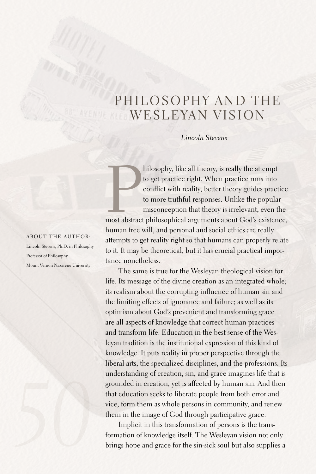## PHILOSOPHY AND THE WESLEYAN VISION

*Lincoln Stevens*

hilosophy, like all theory, is really the attempt<br>to get practice right. When practice runs into<br>conflict with reality, better theory guides practice<br>to more truthful responses. Unlike the popular<br>misconception that theory hilosophy, like all theory, is really the attempt to get practice right. When practice runs into conflict with reality, better theory guides practice to more truthful responses. Unlike the popular misconception that theory is irrelevant, even the

human free will, and personal and social ethics are really attempts to get reality right so that humans can properly relate to it. It may be theoretical, but it has crucial practical importance nonetheless.

The same is true for the Wesleyan theological vision for life. Its message of the divine creation as an integrated whole; its realism about the corrupting influence of human sin and the limiting effects of ignorance and failure; as well as its optimism about God's prevenient and transforming grace are all aspects of knowledge that correct human practices and transform life. Education in the best sense of the Wesleyan tradition is the institutional expression of this kind of knowledge. It puts reality in proper perspective through the liberal arts, the specialized disciplines, and the professions. Its understanding of creation, sin, and grace imagines life that is grounded in creation, yet is affected by human sin.And then that education seeks to liberate people from both error and vice, form them as whole persons in community, and renew them in the image of God through participative grace.

Implicit in this transformation of persons is the transformation of knowledge itself. The Wesleyan vision not only brings hope and grace for the sin-sick soul but also supplies a

## ABOUT THE AUTHOR:

Lincoln Stevens, Ph.D. in Philosophy Professor of Philosophy Mount Vernon Nazarene University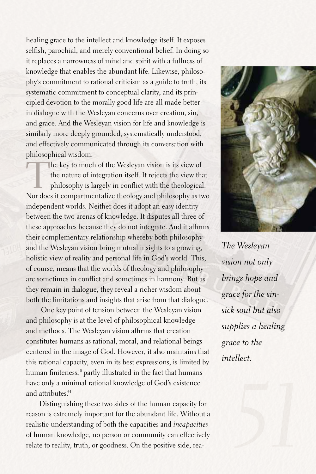healing grace to the intellect and knowledge itself. It exposes selfish, parochial, and merely conventional belief. In doing so it replaces a narrowness of mind and spirit with a fullness of knowledge that enables the abundant life.Likewise, philosophy's commitment to rational criticism as a guide to truth, its systematic commitment to conceptual clarity, and its principled devotion to the morally good life are all made better in dialogue with the Wesleyan concerns over creation, sin, and grace.And the Wesleyan vision for life and knowledge is similarly more deeply grounded, systematically understood, and effectively communicated through its conversation with philosophical wisdom.

The key to much of the Wesleyan vision is its view of<br>the nature of integration itself. It rejects the view the<br>philosophy is largely in conflict with the theological<br>Not does it compartmentalize theologican philosophy as the nature of integration itself. It rejects the view that philosophy is largely in conflict with the theological. Nor does it compartmentalize theology and philosophy as two independent worlds. Neither does it adopt an easy identity between the two arenas of knowledge. It disputes all three of these approaches because they do not integrate.And it affirms their complementary relationship whereby both philosophy and the Wesleyan vision bring mutual insights to a growing, holistic view of reality and personal life in God's world. This, of course, means that the worlds of theology and philosophy are sometimes in conflict and sometimes in harmony. But as they remain in dialogue, they reveal a richer wisdom about both the limitations and insights that arise from that dialogue.

 One key point of tension between the Wesleyan vision and philosophy is at the level of philosophical knowledge and methods. The Wesleyan vision affirms that creation constitutes humans as rational, moral, and relational beings centered in the image of God. However, it also maintains that this rational capacity, even in its best expressions, is limited by human finiteness,<sup>40</sup> partly illustrated in the fact that humans have only a minimal rational knowledge of God's existence and attributes. 41

Distinguishing these two sides of the human capacity for reason is extremely important for the abundant life. Without a realistic understanding of both the capacities and *incapacities* of human knowledge, no person or community can effectively relate to reality, truth, or goodness. On the positive side, rea-



*The Wesleyan vision not only brings hope and grace for the sinsick soul but also supplies a healing grace to the intellect.*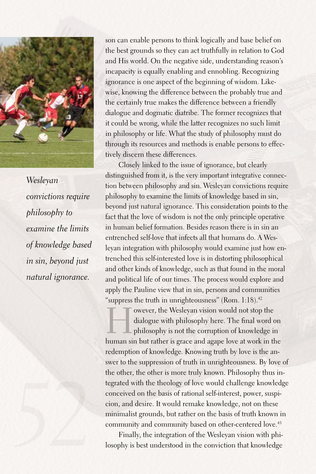

*Wesleyan convictions require philosophy to examine the limits of knowledge based in sin, beyond just natural ignorance.* 

son can enable persons to think logically and base belief on the best grounds so they can act truthfully in relation to God and His world. On the negative side, understanding reason's incapacity is equally enabling and ennobling. Recognizing ignorance is one aspect of the beginning of wisdom. Likewise, knowing the difference between the probably true and the certainly true makes the difference between a friendly dialogue and dogmatic diatribe. The former recognizes that it could be wrong, while the latter recognizes no such limit in philosophy or life. What the study of philosophy must do through its resources and methods is enable persons to effectively discern these differences.

Closely linked to the issue of ignorance, but clearly distinguished from it, is the very important integrative connection between philosophy and sin. Wesleyan convictions require philosophy to examine the limits of knowledge based in sin, beyond just natural ignorance. This consideration points to the fact that the love of wisdom is not the only principle operative in human belief formation. Besides reason there is in sin an entrenched self-love that infects all that humans do.A Wesleyan integration with philosophy would examine just how entrenched this self-interested love is in distorting philosophical and other kinds of knowledge, such as that found in the moral and political life of our times. The process would explore and apply the Pauline view that in sin, persons and communities "suppress the truth in unrighteousness" (Rom. 1:18). 42

Towever, the Wesleyan vision would not stop the<br>dialogue with philosophy here. The final word of<br>philosophy is not the corruption of knowledge in<br>human sin but rather is grass and stand love at work in the dialogue with philosophy here. The final word on philosophy is not the corruption of knowledge in human sin but rather is grace and agape love at work in the redemption of knowledge. Knowing truth by love is the answer to the suppression of truth in unrighteousness. By love of the other, the other is more truly known. Philosophy thus integrated with the theology of love would challenge knowledge conceived on the basis of rational self-interest, power, suspicion, and desire. It would remake knowledge, not on these minimalist grounds, but rather on the basis of truth known in community and community based on other-centered love. 43

Finally, the integration of the Wesleyan vision with philosophy is best understood in the conviction that knowledge